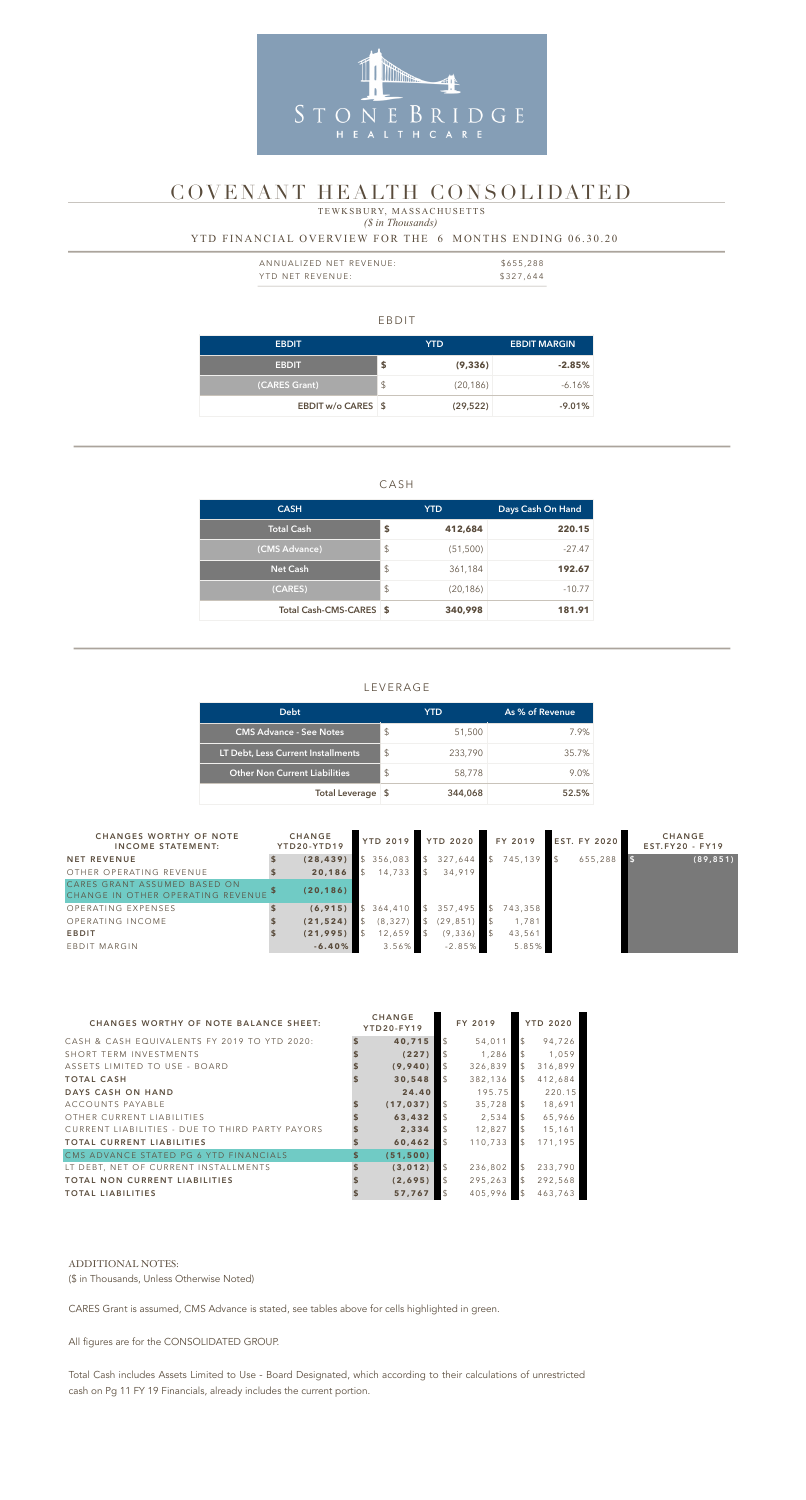### EBDIT

#### *(\$ in Thousands)* TEWKSBURY, MASSACHUSETTS

| <b>EBDIT</b>       |               | <b>YTD</b> | <b>EBDIT MARGIN</b> |
|--------------------|---------------|------------|---------------------|
| <b>EBDIT</b>       | \$            | (9, 336)   | $-2.85%$            |
| (CARES Grant)      | $\frac{1}{2}$ | (20, 186)  | $-6.16\%$           |
| EBDIT w/o CARES \$ |               | (29, 522)  | $-9.01%$            |

### CASH

| <b>CASH</b>             |                         | <b>YTD</b> | Days Cash On Hand |  |  |
|-------------------------|-------------------------|------------|-------------------|--|--|
| Total Cash              | S                       | 412,684    | 220.15            |  |  |
| (CMS Advance)           | $\sqrt[6]{\frac{1}{2}}$ | (51, 500)  | $-27.47$          |  |  |
| <b>Net Cash</b>         | $\sqrt[6]{\frac{1}{2}}$ | 361,184    | 192.67            |  |  |
| (CARES)                 | $\sqrt[6]{\frac{1}{2}}$ | (20, 186)  | $-10.77$          |  |  |
| Total Cash-CMS-CARES \$ |                         | 340,998    | 181.91            |  |  |

| ANNUALIZED NET REVENUE: | \$655,288 |
|-------------------------|-----------|
| YTD NET REVENUE:        | \$327,644 |

### LEVERAGE

| <b>Debt</b>                          |                           | YTD.    | As % of Revenue |
|--------------------------------------|---------------------------|---------|-----------------|
| <b>CMS Advance - See Notes</b>       | $\boldsymbol{\mathsf{S}}$ | 51,500  | 7.9%            |
| LT Debt, Less Current Installments   | S                         | 233,790 | 35.7%           |
| <b>Other Non Current Liabilities</b> | $\boldsymbol{\mathsf{S}}$ | 58,778  | 9.0%            |
| Total Leverage \$                    |                           | 344,068 | 52.5%           |

### YTD FINANCIAL OVERVIEW FOR THE 6 MONTHS ENDING 06.30.20



# COVENANT HEALTH CONSOLIDATED

| <b>CHANGES WORTHY OF NOTE</b><br><b>INCOME STATEMENT:</b>         | <b>CHANGE</b><br>YTD20-YTD19 |  |          |                         | YTD 2019 YTD 2020 |               |         |         |           |  |  |  | FY 2019 | <b>EST. FY 2020</b> | <b>CHANGE</b><br>$EST.FY20 - FY19$ |
|-------------------------------------------------------------------|------------------------------|--|----------|-------------------------|-------------------|---------------|---------|---------|-----------|--|--|--|---------|---------------------|------------------------------------|
| <b>NET REVENUE</b>                                                | (28, 439)                    |  | 356,083  |                         | \$327,644         | $\mathcal{S}$ | 745,139 | 655,288 | (89, 851) |  |  |  |         |                     |                                    |
| OTHER OPERATING REVENUE                                           | 20,186                       |  | 14,733   | $\overline{\mathbf{S}}$ | 34,919            |               |         |         |           |  |  |  |         |                     |                                    |
| CARES GRANT ASSUMED BASED ON<br>CHANGE IN OTHER OPERATING REVENUE | (20, 186)                    |  |          |                         |                   |               |         |         |           |  |  |  |         |                     |                                    |
| OPERATING EXPENSES                                                | (6, 915)                     |  | 364,410  | $\mathcal{S}$           | 357,495           | $\mathcal{S}$ | 743,358 |         |           |  |  |  |         |                     |                                    |
| OPERATING INCOME                                                  | (21, 524)                    |  | (8, 327) |                         | (29, 851)         |               | 1,781   |         |           |  |  |  |         |                     |                                    |
| <b>EBDIT</b>                                                      | (21, 995)                    |  | 12,659   |                         | (9, 336)          |               | 43,561  |         |           |  |  |  |         |                     |                                    |
| EBDIT MARGIN                                                      | $-6.40%$                     |  | $3.56\%$ |                         | $-2.85%$          |               | 5.85%   |         |           |  |  |  |         |                     |                                    |

| <b>CHANGES WORTHY OF NOTE BALANCE SHEET:</b>    |    | <b>CHANGE</b><br>YTD20-FY19 |                | FY 2019 |                | <b>YTD 2020</b> |  |  |
|-------------------------------------------------|----|-----------------------------|----------------|---------|----------------|-----------------|--|--|
| CASH & CASH EQUIVALENTS FY 2019 TO YTD 2020:    |    | 40,715                      | <sup>\$</sup>  | 54,011  | $\mathcal{S}$  | 94,726          |  |  |
| SHORT TERM INVESTMENTS                          |    | (227)                       |                | 1,286   |                | 1,059           |  |  |
| ASSETS LIMITED TO USE - BOARD                   |    | (9,940)                     | $\mathcal{L}$  | 326,839 | $\mathcal{L}$  | 316,899         |  |  |
| <b>TOTAL CASH</b>                               |    | 30,548                      | $\mathcal{L}$  | 382,136 | $\mathcal{L}$  | 412,684         |  |  |
| DAYS CASH ON HAND                               |    | 24.40                       |                | 195.75  |                | 220.15          |  |  |
| ACCOUNTS PAYABLE                                |    | (17, 037)                   | $\sqrt{3}$     | 35,728  | $\mathcal{S}$  | 18,691          |  |  |
| OTHER CURRENT LIABILITIES                       |    | 63,432                      |                | 2,534   | $\mathcal{S}$  | 65,966          |  |  |
| CURRENT LIABILITIES - DUE TO THIRD PARTY PAYORS |    | 2,334                       |                | 12.827  | $\mathcal{S}$  | 15,161          |  |  |
| <b>TOTAL CURRENT LIABILITIES</b>                |    | 60,462                      | $\mathfrak{L}$ | 110,733 | $\mathfrak{L}$ | 171,195         |  |  |
| CMS ADVANCE STATED PG 6 YTD FINANCIALS          | \$ | (51, 500)                   |                |         |                |                 |  |  |
| LT DEBT, NET OF CURRENT INSTALLMENTS            | \$ | (3,012)                     | $\mathcal{S}$  | 236,802 | $\mathcal{L}$  | 233,790         |  |  |
| <b>TOTAL NON CURRENT LIABILITIES</b>            |    | (2,695)                     | $\mathfrak{L}$ | 295,263 | $\mathbb{S}$   | 292,568         |  |  |
| <b>TOTAL LIABILITIES</b>                        |    | 57,767                      |                | 405,996 | $\mathcal{L}$  | 463,763         |  |  |

#### ADDITIONAL NOTES:

(\$ in Thousands, Unless Otherwise Noted)

CARES Grant is assumed, CMS Advance is stated, see tables above for cells highlighted in green.

All figures are for the CONSOLIDATED GROUP.

Total Cash includes Assets Limited to Use - Board Designated, which according to their calculations of unrestricted cash on Pg 11 FY 19 Financials, already includes the current portion.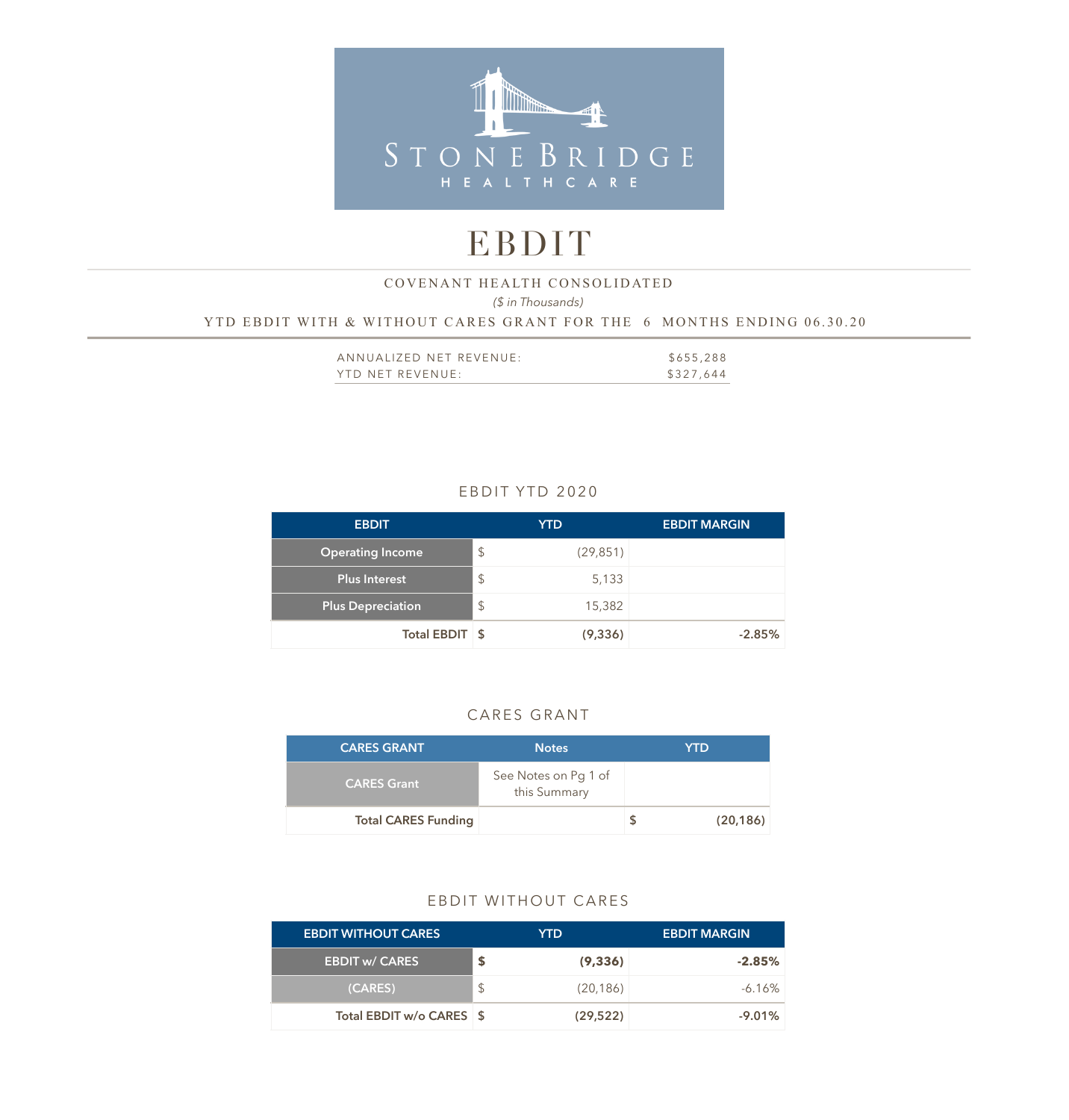

# EBDIT

## *(\$ in Thousands)*  YTD EBDIT WITH & WITHOUT CARES GRANT FOR THE 6 MONTHS ENDING 06.30.20 COVENANT HEALTH CONSOLIDATED

| ANNUALIZED NET REVENUE: | \$655,288 |
|-------------------------|-----------|
| YTD NET REVENUE:        | \$327,644 |

# EBDIT YTD 2020

| <b>EBDIT</b>             |               | <b>YTD</b> | <b>EBDIT MARGIN</b> |
|--------------------------|---------------|------------|---------------------|
| <b>Operating Income</b>  | $\mathcal{L}$ | (29, 851)  |                     |
| Plus Interest            | $\mathcal{L}$ | 5,133      |                     |
| <b>Plus Depreciation</b> | $\frac{1}{2}$ | 15,382     |                     |
| Total EBDIT \$           |               | (9, 336)   | $-2.85%$            |

# CARES GRANT

| <b>CARES GRANT</b>         | <b>Notes</b>                         | YTD       |
|----------------------------|--------------------------------------|-----------|
| <b>CARES Grant</b>         | See Notes on Pg 1 of<br>this Summary |           |
| <b>Total CARES Funding</b> |                                      | (20, 186) |

### EBDIT WITHOUT CARES

| <b>EBDIT WITHOUT CARES</b> |               | YTD.      | <b>EBDIT MARGIN</b> |
|----------------------------|---------------|-----------|---------------------|
| <b>EBDIT w/ CARES</b>      |               | (9, 336)  | $-2.85\%$           |
| (CARES)                    | $\mathcal{L}$ | (20, 186) | $-6.16\%$           |
| Total EBDIT w/o CARES \$   |               | (29, 522) | $-9.01%$            |